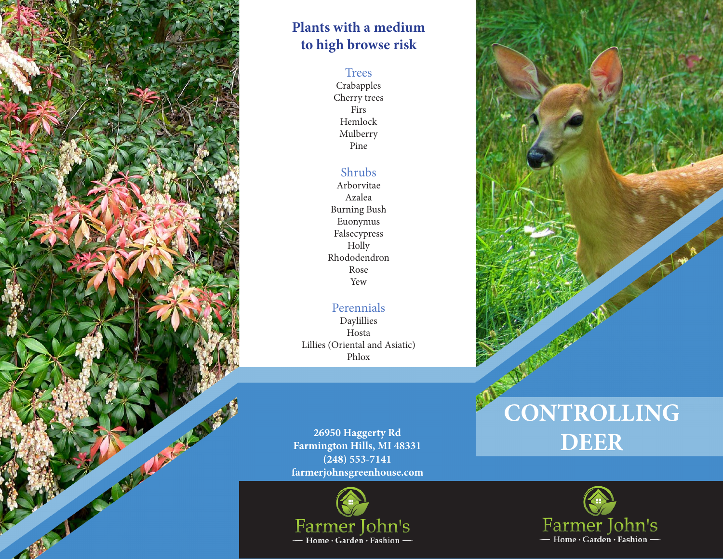

# **Plants with a medium to high browse risk**

#### **Trees**

Crabapples Cherry trees Firs Hemlock Mulberry Pine

### Shrubs

Arborvitae Azalea Burning Bush Euonymus Falsecypress Holly Rhododendron Rose Yew

### Perennials

Daylillies Hosta Lillies (Oriental and Asiatic) Phlox

**farmerjohnsgreenhouse.com 26950 Haggerty Rd Farmington Hills, MI 48331 (248) 553-7141**